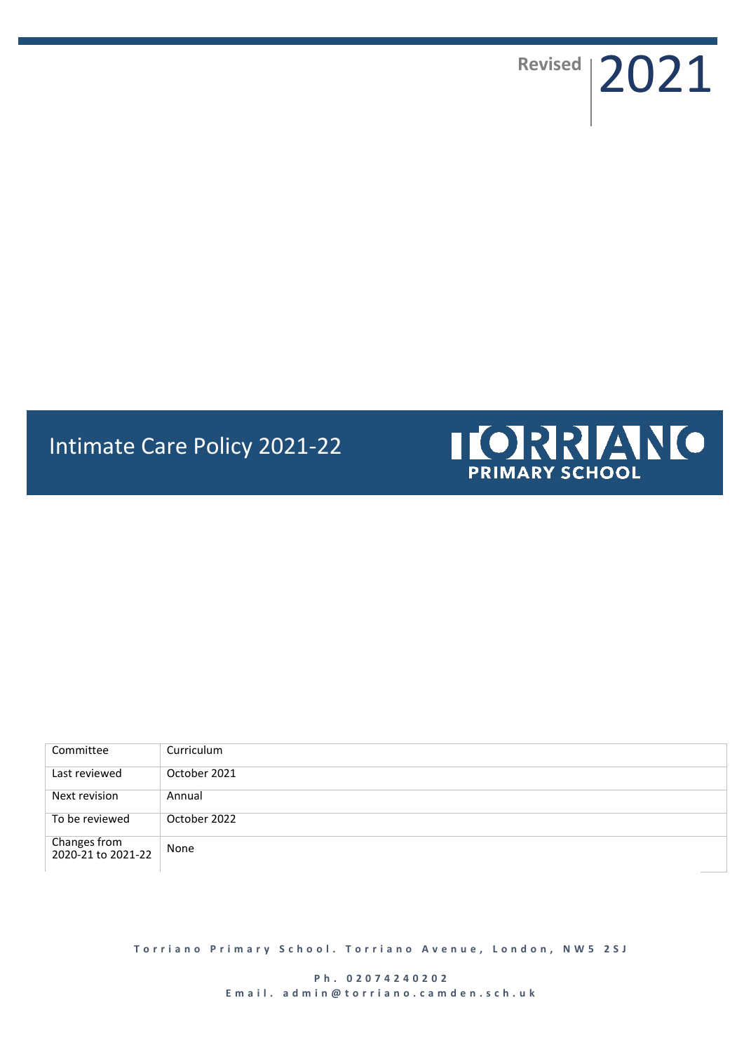Revised | 2021

## Intimate Care Policy 2021-22



| Committee                          | Curriculum   |
|------------------------------------|--------------|
| Last reviewed                      | October 2021 |
| Next revision                      | Annual       |
| To be reviewed                     | October 2022 |
| Changes from<br>2020-21 to 2021-22 | None         |

**Torriano Primary School. Torriano Avenue, London, NW5 2SJ** 

**P h . 0 2 0 7 4 2 4 0 2 0 2 E m a i l . a d m i n @ t o r r i a n o . c a m d e n . s c h . u k**